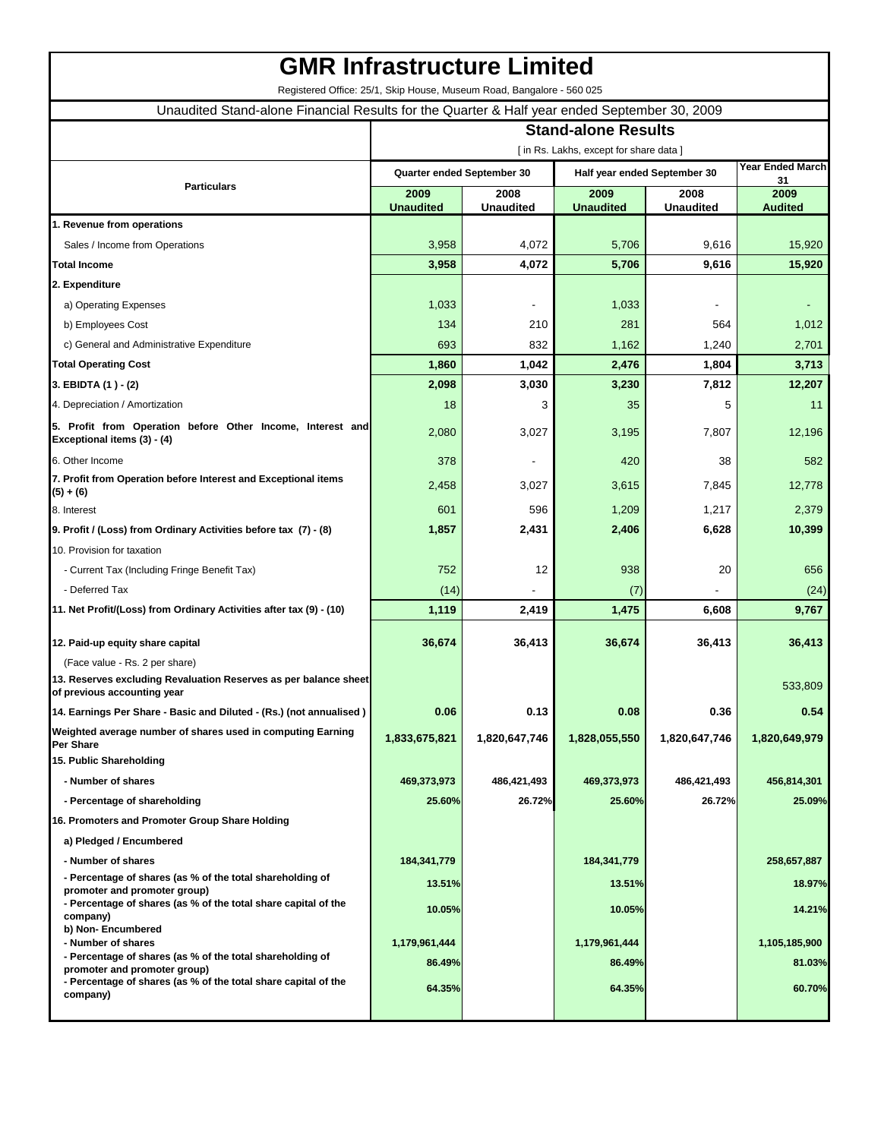## **GMR Infrastructure Limited**

Registered Office: 25/1, Skip House, Museum Road, Bangalore - 560 025

Unaudited Stand-alone Financial Results for the Quarter & Half year ended September 30, 2009

|                                                                                                                                                             | <b>Stand-alone Results</b>            |                            |                              |                          |                        |  |
|-------------------------------------------------------------------------------------------------------------------------------------------------------------|---------------------------------------|----------------------------|------------------------------|--------------------------|------------------------|--|
|                                                                                                                                                             | [in Rs. Lakhs, except for share data] |                            |                              |                          |                        |  |
|                                                                                                                                                             |                                       | Quarter ended September 30 | Half year ended September 30 |                          | Year Ended March<br>31 |  |
| <b>Particulars</b>                                                                                                                                          | 2009<br><b>Unaudited</b>              | 2008<br><b>Unaudited</b>   | 2009<br><b>Unaudited</b>     | 2008<br><b>Unaudited</b> | 2009<br><b>Audited</b> |  |
| 1. Revenue from operations                                                                                                                                  |                                       |                            |                              |                          |                        |  |
| Sales / Income from Operations                                                                                                                              | 3,958                                 | 4,072                      | 5,706                        | 9,616                    | 15,920                 |  |
| <b>Total Income</b>                                                                                                                                         | 3,958                                 | 4,072                      | 5,706                        | 9,616                    | 15,920                 |  |
| 2. Expenditure                                                                                                                                              |                                       |                            |                              |                          |                        |  |
| a) Operating Expenses                                                                                                                                       | 1,033                                 |                            | 1,033                        |                          |                        |  |
| b) Employees Cost                                                                                                                                           | 134                                   | 210                        | 281                          | 564                      | 1,012                  |  |
| c) General and Administrative Expenditure                                                                                                                   | 693                                   | 832                        | 1,162                        | 1,240                    | 2,701                  |  |
| <b>Total Operating Cost</b>                                                                                                                                 | 1,860                                 | 1,042                      | 2,476                        | 1,804                    | 3,713                  |  |
| 3. EBIDTA (1) - (2)                                                                                                                                         | 2,098                                 | 3,030                      | 3,230                        | 7,812                    | 12,207                 |  |
| 4. Depreciation / Amortization                                                                                                                              | 18                                    | 3                          | 35                           | 5                        | 11                     |  |
| 5. Profit from Operation before Other Income, Interest and<br>Exceptional items (3) - (4)                                                                   | 2,080                                 | 3,027                      | 3,195                        | 7,807                    | 12,196                 |  |
| 6. Other Income                                                                                                                                             | 378                                   |                            | 420                          | 38                       | 582                    |  |
| 7. Profit from Operation before Interest and Exceptional items                                                                                              |                                       |                            |                              |                          |                        |  |
| $(5) + (6)$                                                                                                                                                 | 2,458                                 | 3,027                      | 3,615                        | 7,845                    | 12,778                 |  |
| 8. Interest                                                                                                                                                 | 601                                   | 596                        | 1,209                        | 1,217                    | 2,379                  |  |
| 9. Profit / (Loss) from Ordinary Activities before tax (7) - (8)                                                                                            | 1,857                                 | 2,431                      | 2,406                        | 6,628                    | 10,399                 |  |
| 10. Provision for taxation                                                                                                                                  |                                       |                            |                              |                          |                        |  |
| - Current Tax (Including Fringe Benefit Tax)                                                                                                                | 752                                   | 12                         | 938                          | 20                       | 656                    |  |
| - Deferred Tax                                                                                                                                              | (14)                                  |                            | (7)                          |                          | (24)                   |  |
| 11. Net Profit/(Loss) from Ordinary Activities after tax (9) - (10)                                                                                         | 1,119                                 | 2,419                      | 1,475                        | 6,608                    | 9,767                  |  |
| 12. Paid-up equity share capital                                                                                                                            | 36,674                                | 36,413                     | 36,674                       | 36,413                   | 36,413                 |  |
| (Face value - Rs. 2 per share)                                                                                                                              |                                       |                            |                              |                          |                        |  |
| 13. Reserves excluding Revaluation Reserves as per balance sheet<br>of previous accounting year                                                             |                                       |                            |                              |                          | 533,809                |  |
| 14. Earnings Per Share - Basic and Diluted - (Rs.) (not annualised)                                                                                         | 0.06                                  | 0.13                       | 0.08                         | 0.36                     | 0.54                   |  |
| Weighted average number of shares used in computing Earning<br><b>Per Share</b>                                                                             | 1,833,675,821                         | 1,820,647,746              | 1,828,055,550                | 1,820,647,746            | 1,820,649,979          |  |
| 15. Public Shareholding                                                                                                                                     |                                       |                            |                              |                          |                        |  |
| - Number of shares                                                                                                                                          | 469,373,973                           | 486,421,493                | 469,373,973                  | 486,421,493              | 456,814,301            |  |
| - Percentage of shareholding                                                                                                                                | 25.60%                                | 26.72%                     | 25.60%                       | 26.72%                   | 25.09%                 |  |
| 16. Promoters and Promoter Group Share Holding                                                                                                              |                                       |                            |                              |                          |                        |  |
| a) Pledged / Encumbered                                                                                                                                     |                                       |                            |                              |                          |                        |  |
| - Number of shares                                                                                                                                          | 184,341,779                           |                            | 184,341,779                  |                          | 258,657,887            |  |
| - Percentage of shares (as % of the total shareholding of<br>promoter and promoter group)<br>- Percentage of shares (as % of the total share capital of the | 13.51%                                |                            | 13.51%                       |                          | 18.97%                 |  |
| company)                                                                                                                                                    | 10.05%                                |                            | 10.05%                       |                          | 14.21%                 |  |
| b) Non-Encumbered<br>- Number of shares                                                                                                                     | 1,179,961,444                         |                            | 1,179,961,444                |                          | 1,105,185,900          |  |
| - Percentage of shares (as % of the total shareholding of                                                                                                   | 86.49%                                |                            | 86.49%                       |                          | 81.03%                 |  |
| promoter and promoter group)<br>- Percentage of shares (as % of the total share capital of the<br>company)                                                  | 64.35%                                |                            | 64.35%                       |                          | 60.70%                 |  |
|                                                                                                                                                             |                                       |                            |                              |                          |                        |  |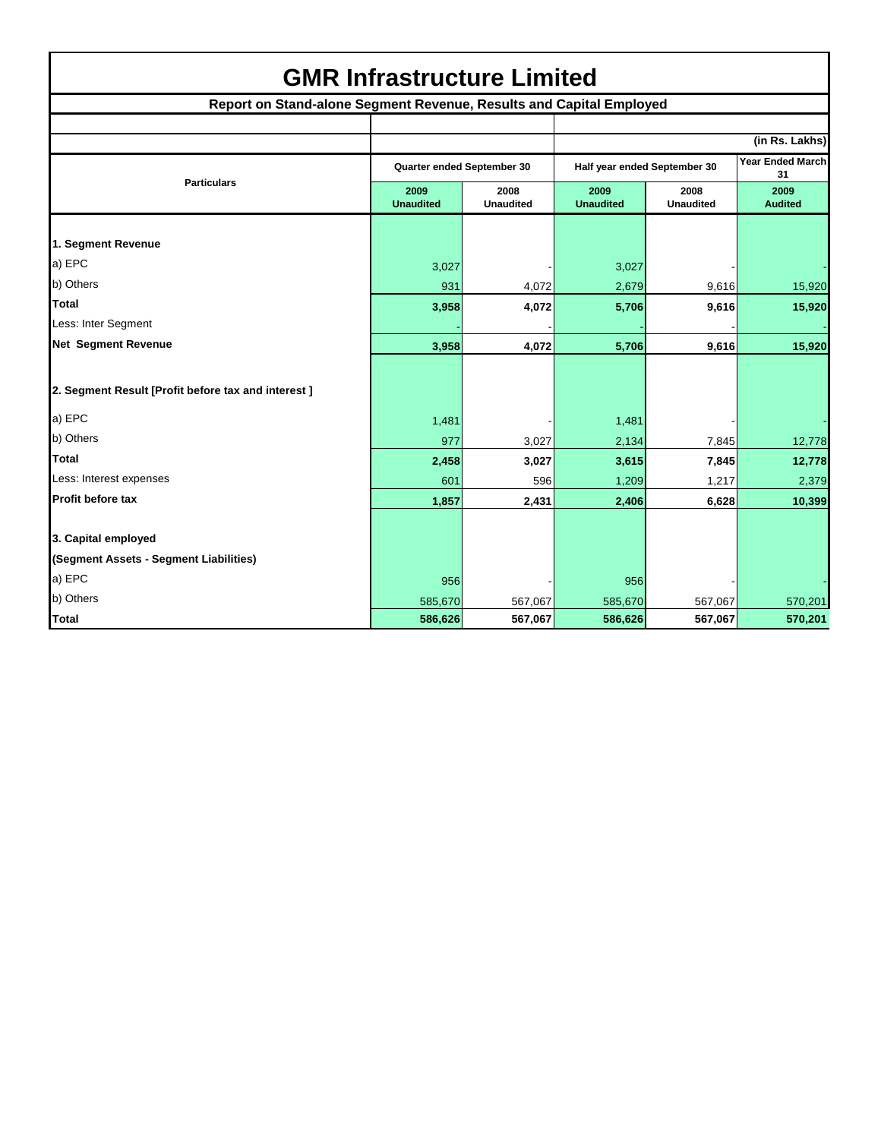| <b>GMR Infrastructure Limited</b> |  |
|-----------------------------------|--|
|-----------------------------------|--|

| Report on Stand-alone Segment Revenue, Results and Capital Employed |                            |                          |                              |                          |                        |  |  |
|---------------------------------------------------------------------|----------------------------|--------------------------|------------------------------|--------------------------|------------------------|--|--|
|                                                                     |                            |                          |                              |                          |                        |  |  |
|                                                                     |                            |                          |                              |                          | (in Rs. Lakhs)         |  |  |
|                                                                     | Quarter ended September 30 |                          | Half year ended September 30 |                          | Year Ended March<br>31 |  |  |
| <b>Particulars</b>                                                  | 2009<br><b>Unaudited</b>   | 2008<br><b>Unaudited</b> | 2009<br><b>Unaudited</b>     | 2008<br><b>Unaudited</b> | 2009<br><b>Audited</b> |  |  |
|                                                                     |                            |                          |                              |                          |                        |  |  |
| 1. Segment Revenue                                                  |                            |                          |                              |                          |                        |  |  |
| a) EPC                                                              | 3,027                      |                          | 3,027                        |                          |                        |  |  |
| b) Others                                                           | 931                        | 4,072                    | 2,679                        | 9,616                    | 15,920                 |  |  |
| <b>Total</b>                                                        | 3,958                      | 4,072                    | 5,706                        | 9,616                    | 15,920                 |  |  |
| Less: Inter Segment                                                 |                            |                          |                              |                          |                        |  |  |
| Net Segment Revenue                                                 | 3,958                      | 4,072                    | 5,706                        | 9,616                    | 15,920                 |  |  |
|                                                                     |                            |                          |                              |                          |                        |  |  |
| 2. Segment Result [Profit before tax and interest ]                 |                            |                          |                              |                          |                        |  |  |
| a) EPC                                                              | 1,481                      |                          | 1,481                        |                          |                        |  |  |
| b) Others                                                           | 977                        | 3,027                    | 2,134                        | 7,845                    | 12,778                 |  |  |
| <b>Total</b>                                                        | 2,458                      | 3,027                    | 3,615                        | 7,845                    | 12,778                 |  |  |
| Less: Interest expenses                                             | 601                        | 596                      | 1,209                        | 1,217                    | 2,379                  |  |  |
| Profit before tax                                                   | 1,857                      | 2,431                    | 2,406                        | 6,628                    | 10,399                 |  |  |
|                                                                     |                            |                          |                              |                          |                        |  |  |
| 3. Capital employed                                                 |                            |                          |                              |                          |                        |  |  |
| (Segment Assets - Segment Liabilities)                              |                            |                          |                              |                          |                        |  |  |
| a) EPC                                                              | 956                        |                          | 956                          |                          |                        |  |  |
| b) Others                                                           | 585,670                    | 567,067                  | 585,670                      | 567,067                  | 570,201                |  |  |
| <b>Total</b>                                                        | 586,626                    | 567,067                  | 586,626                      | 567,067                  | 570,201                |  |  |